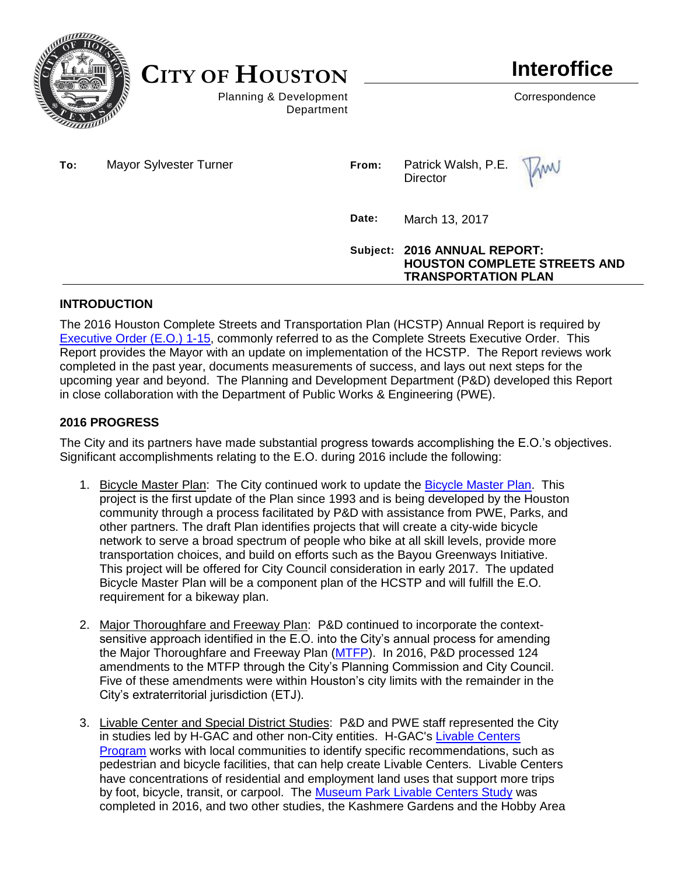

**CITY OF HOUSTON**

Planning & Development Correspondence Department

| To: | Mayor Sylvester Turner | From: | Patrick Walsh, P.E. MW<br>Director                                                                |
|-----|------------------------|-------|---------------------------------------------------------------------------------------------------|
|     |                        | Date: | March 13, 2017                                                                                    |
|     |                        |       | Subject: 2016 ANNUAL REPORT:<br><b>HOUSTON COMPLETE STREETS AND</b><br><b>TRANSPORTATION PLAN</b> |

# **INTRODUCTION**

The 2016 Houston Complete Streets and Transportation Plan (HCSTP) Annual Report is required by [Executive Order \(E.O.\) 1-15,](http://www.houstontx.gov/execorders/1-15.pdf) commonly referred to as the Complete Streets Executive Order. This Report provides the Mayor with an update on implementation of the HCSTP. The Report reviews work completed in the past year, documents measurements of success, and lays out next steps for the upcoming year and beyond. The Planning and Development Department (P&D) developed this Report in close collaboration with the Department of Public Works & Engineering (PWE).

# **2016 PROGRESS**

The City and its partners have made substantial progress towards accomplishing the E.O.'s objectives. Significant accomplishments relating to the E.O. during 2016 include the following:

- 1. Bicycle Master Plan: The City continued work to update the [Bicycle Master Plan.](http://www.houstonbikeplan.org/) This project is the first update of the Plan since 1993 and is being developed by the Houston community through a process facilitated by P&D with assistance from PWE, Parks, and other partners. The draft Plan identifies projects that will create a city-wide bicycle network to serve a broad spectrum of people who bike at all skill levels, provide more transportation choices, and build on efforts such as the Bayou Greenways Initiative. This project will be offered for City Council consideration in early 2017. The updated Bicycle Master Plan will be a component plan of the HCSTP and will fulfill the E.O. requirement for a bikeway plan.
- 2. Major Thoroughfare and Freeway Plan: P&D continued to incorporate the contextsensitive approach identified in the E.O. into the City's annual process for amending the Major Thoroughfare and Freeway Plan [\(MTFP\)](http://www.houstontx.gov/planning/transportation/MTFP.html). In 2016, P&D processed 124 amendments to the MTFP through the City's Planning Commission and City Council. Five of these amendments were within Houston's city limits with the remainder in the City's extraterritorial jurisdiction (ETJ).
- 3. Livable Center and Special District Studies: P&D and PWE staff represented the City in studies led by H-GAC and other non-City entities. H-GAC's [Livable Centers](http://www.h-gac.com/community/livablecenters/)  [Program](http://www.h-gac.com/community/livablecenters/) works with local communities to identify specific recommendations, such as pedestrian and bicycle facilities, that can help create Livable Centers. Livable Centers have concentrations of residential and employment land uses that support more trips by foot, bicycle, transit, or carpool. The [Museum Park Livable Centers Study](http://www.h-gac.com/community/livablecenters/planning-studies/museum-park.aspx) was completed in 2016, and two other studies, the Kashmere Gardens and the Hobby Area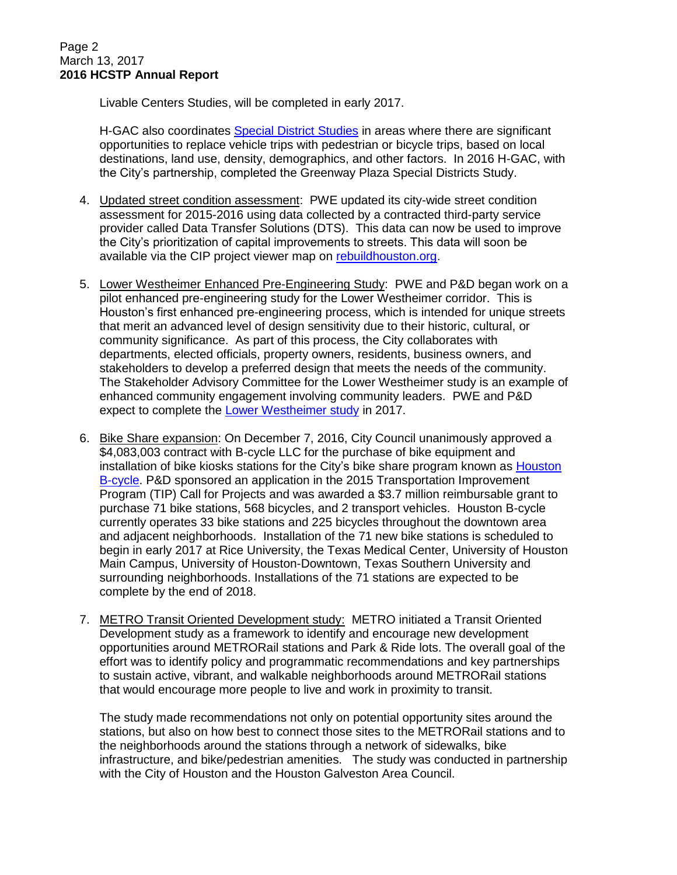Livable Centers Studies, will be completed in early 2017.

H-GAC also coordinates [Special District Studies](http://www.h-gac.com/community/qualityplaces/pedbike/special-districts.aspx) in areas where there are significant opportunities to replace vehicle trips with pedestrian or bicycle trips, based on local destinations, land use, density, demographics, and other factors. In 2016 H-GAC, with the City's partnership, completed the Greenway Plaza Special Districts Study.

- 4. Updated street condition assessment: PWE updated its city-wide street condition assessment for 2015-2016 using data collected by a contracted third-party service provider called Data Transfer Solutions (DTS). This data can now be used to improve the City's prioritization of capital improvements to streets. This data will soon be available via the CIP project viewer map on [rebuildhouston.org.](https://www.rebuildhouston.org/)
- 5. Lower Westheimer Enhanced Pre-Engineering Study: PWE and P&D began work on a pilot enhanced pre-engineering study for the Lower Westheimer corridor. This is Houston's first enhanced pre-engineering process, which is intended for unique streets that merit an advanced level of design sensitivity due to their historic, cultural, or community significance. As part of this process, the City collaborates with departments, elected officials, property owners, residents, business owners, and stakeholders to develop a preferred design that meets the needs of the community. The Stakeholder Advisory Committee for the Lower Westheimer study is an example of enhanced community engagement involving community leaders. PWE and P&D expect to complete the [Lower Westheimer study](http://www.lowerwestheimerstudy.org/) in 2017.
- 6. Bike Share expansion: On December 7, 2016, City Council unanimously approved a \$4,083,003 contract with B-cycle LLC for the purchase of bike equipment and installation of bike kiosks stations for the City's bike share program known as [Houston](https://houston.bcycle.com/)  [B-cycle.](https://houston.bcycle.com/) P&D sponsored an application in the 2015 Transportation Improvement Program (TIP) Call for Projects and was awarded a \$3.7 million reimbursable grant to purchase 71 bike stations, 568 bicycles, and 2 transport vehicles. Houston B-cycle currently operates 33 bike stations and 225 bicycles throughout the downtown area and adjacent neighborhoods. Installation of the 71 new bike stations is scheduled to begin in early 2017 at Rice University, the Texas Medical Center, University of Houston Main Campus, University of Houston-Downtown, Texas Southern University and surrounding neighborhoods. Installations of the 71 stations are expected to be complete by the end of 2018.
- 7. METRO Transit Oriented Development study: METRO initiated a Transit Oriented Development study as a framework to identify and encourage new development opportunities around METRORail stations and Park & Ride lots. The overall goal of the effort was to identify policy and programmatic recommendations and key partnerships to sustain active, vibrant, and walkable neighborhoods around METRORail stations that would encourage more people to live and work in proximity to transit.

The study made recommendations not only on potential opportunity sites around the stations, but also on how best to connect those sites to the METRORail stations and to the neighborhoods around the stations through a network of sidewalks, bike infrastructure, and bike/pedestrian amenities. The study was conducted in partnership with the City of Houston and the Houston Galveston Area Council.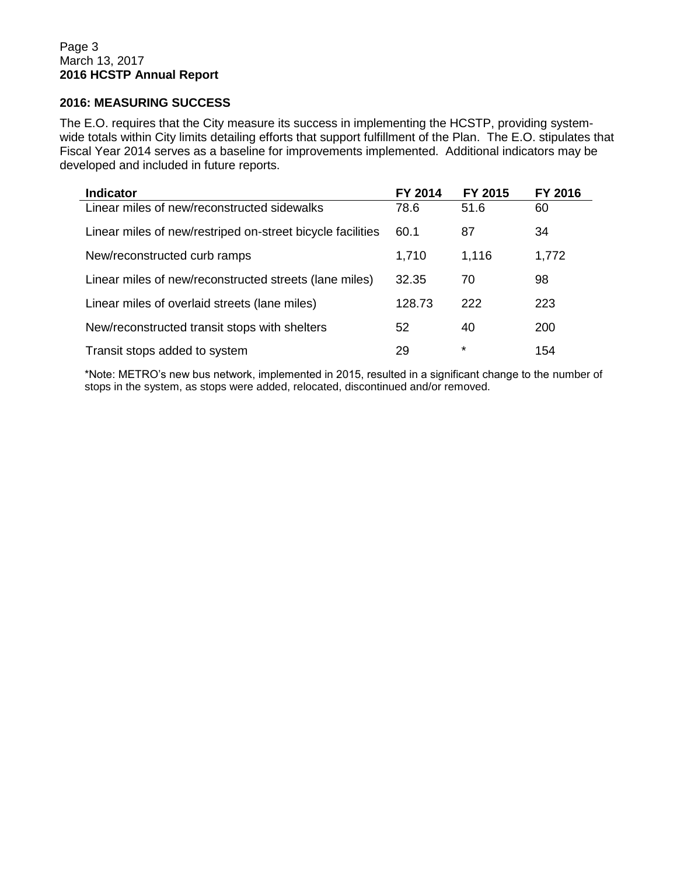### **2016: MEASURING SUCCESS**

The E.O. requires that the City measure its success in implementing the HCSTP, providing systemwide totals within City limits detailing efforts that support fulfillment of the Plan. The E.O. stipulates that Fiscal Year 2014 serves as a baseline for improvements implemented. Additional indicators may be developed and included in future reports.

| <b>Indicator</b>                                           | FY 2014 | FY 2015 | FY 2016 |
|------------------------------------------------------------|---------|---------|---------|
| Linear miles of new/reconstructed sidewalks                | 78.6    | 51.6    | 60      |
| Linear miles of new/restriped on-street bicycle facilities | 60.1    | 87      | 34      |
| New/reconstructed curb ramps                               | 1,710   | 1,116   | 1,772   |
| Linear miles of new/reconstructed streets (lane miles)     | 32.35   | 70      | 98      |
| Linear miles of overlaid streets (lane miles)              | 128.73  | 222     | 223     |
| New/reconstructed transit stops with shelters              | 52      | 40      | 200     |
| Transit stops added to system                              | 29      | $\star$ | 154     |

\*Note: METRO's new bus network, implemented in 2015, resulted in a significant change to the number of stops in the system, as stops were added, relocated, discontinued and/or removed.